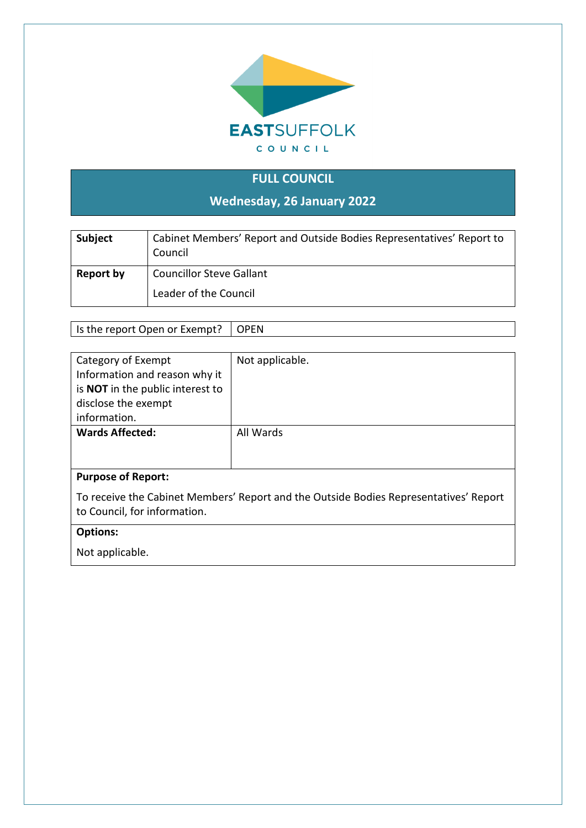

## **FULL COUNCIL**

**Wednesday, 26 January 2022**

| Subject   | Cabinet Members' Report and Outside Bodies Representatives' Report to<br>Council |
|-----------|----------------------------------------------------------------------------------|
| Report by | <b>Councillor Steve Gallant</b>                                                  |
|           | Leader of the Council                                                            |

Is the report Open or Exempt?  $\vert$  OPEN

| Not applicable.                                                                       |  |
|---------------------------------------------------------------------------------------|--|
|                                                                                       |  |
|                                                                                       |  |
|                                                                                       |  |
|                                                                                       |  |
| All Wards                                                                             |  |
|                                                                                       |  |
|                                                                                       |  |
|                                                                                       |  |
| To receive the Cabinet Members' Report and the Outside Bodies Representatives' Report |  |
|                                                                                       |  |
|                                                                                       |  |

## **Options:**

Not applicable.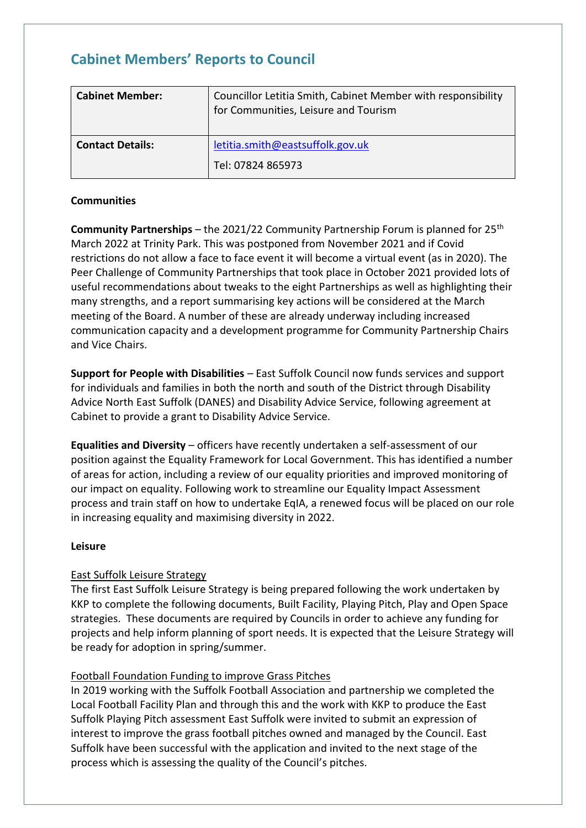# **Cabinet Members' Reports to Council**

| <b>Cabinet Member:</b>  | Councillor Letitia Smith, Cabinet Member with responsibility<br>for Communities, Leisure and Tourism |
|-------------------------|------------------------------------------------------------------------------------------------------|
| <b>Contact Details:</b> | letitia.smith@eastsuffolk.gov.uk<br>Tel: 07824 865973                                                |

### **Communities**

**Community Partnerships** – the 2021/22 Community Partnership Forum is planned for 25<sup>th</sup> March 2022 at Trinity Park. This was postponed from November 2021 and if Covid restrictions do not allow a face to face event it will become a virtual event (as in 2020). The Peer Challenge of Community Partnerships that took place in October 2021 provided lots of useful recommendations about tweaks to the eight Partnerships as well as highlighting their many strengths, and a report summarising key actions will be considered at the March meeting of the Board. A number of these are already underway including increased communication capacity and a development programme for Community Partnership Chairs and Vice Chairs.

**Support for People with Disabilities** – East Suffolk Council now funds services and support for individuals and families in both the north and south of the District through Disability Advice North East Suffolk (DANES) and Disability Advice Service, following agreement at Cabinet to provide a grant to Disability Advice Service.

**Equalities and Diversity** – officers have recently undertaken a self-assessment of our position against the Equality Framework for Local Government. This has identified a number of areas for action, including a review of our equality priorities and improved monitoring of our impact on equality. Following work to streamline our Equality Impact Assessment process and train staff on how to undertake EqIA, a renewed focus will be placed on our role in increasing equality and maximising diversity in 2022.

#### **Leisure**

## East Suffolk Leisure Strategy

The first East Suffolk Leisure Strategy is being prepared following the work undertaken by KKP to complete the following documents, Built Facility, Playing Pitch, Play and Open Space strategies. These documents are required by Councils in order to achieve any funding for projects and help inform planning of sport needs. It is expected that the Leisure Strategy will be ready for adoption in spring/summer.

## Football Foundation Funding to improve Grass Pitches

In 2019 working with the Suffolk Football Association and partnership we completed the Local Football Facility Plan and through this and the work with KKP to produce the East Suffolk Playing Pitch assessment East Suffolk were invited to submit an expression of interest to improve the grass football pitches owned and managed by the Council. East Suffolk have been successful with the application and invited to the next stage of the process which is assessing the quality of the Council's pitches.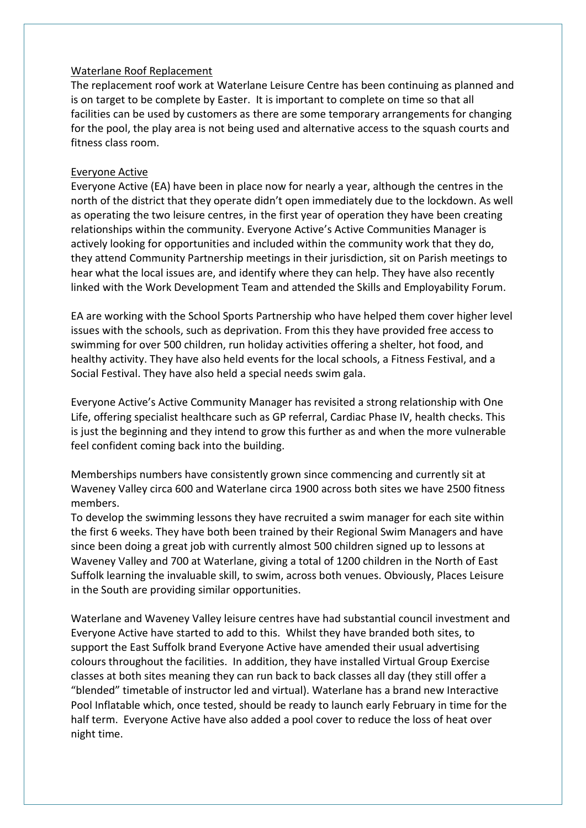#### Waterlane Roof Replacement

The replacement roof work at Waterlane Leisure Centre has been continuing as planned and is on target to be complete by Easter. It is important to complete on time so that all facilities can be used by customers as there are some temporary arrangements for changing for the pool, the play area is not being used and alternative access to the squash courts and fitness class room.

#### Everyone Active

Everyone Active (EA) have been in place now for nearly a year, although the centres in the north of the district that they operate didn't open immediately due to the lockdown. As well as operating the two leisure centres, in the first year of operation they have been creating relationships within the community. Everyone Active's Active Communities Manager is actively looking for opportunities and included within the community work that they do, they attend Community Partnership meetings in their jurisdiction, sit on Parish meetings to hear what the local issues are, and identify where they can help. They have also recently linked with the Work Development Team and attended the Skills and Employability Forum.

EA are working with the School Sports Partnership who have helped them cover higher level issues with the schools, such as deprivation. From this they have provided free access to swimming for over 500 children, run holiday activities offering a shelter, hot food, and healthy activity. They have also held events for the local schools, a Fitness Festival, and a Social Festival. They have also held a special needs swim gala.

Everyone Active's Active Community Manager has revisited a strong relationship with One Life, offering specialist healthcare such as GP referral, Cardiac Phase IV, health checks. This is just the beginning and they intend to grow this further as and when the more vulnerable feel confident coming back into the building.

Memberships numbers have consistently grown since commencing and currently sit at Waveney Valley circa 600 and Waterlane circa 1900 across both sites we have 2500 fitness members.

To develop the swimming lessons they have recruited a swim manager for each site within the first 6 weeks. They have both been trained by their Regional Swim Managers and have since been doing a great job with currently almost 500 children signed up to lessons at Waveney Valley and 700 at Waterlane, giving a total of 1200 children in the North of East Suffolk learning the invaluable skill, to swim, across both venues. Obviously, Places Leisure in the South are providing similar opportunities.

Waterlane and Waveney Valley leisure centres have had substantial council investment and Everyone Active have started to add to this. Whilst they have branded both sites, to support the East Suffolk brand Everyone Active have amended their usual advertising colours throughout the facilities. In addition, they have installed Virtual Group Exercise classes at both sites meaning they can run back to back classes all day (they still offer a "blended" timetable of instructor led and virtual). Waterlane has a brand new Interactive Pool Inflatable which, once tested, should be ready to launch early February in time for the half term. Everyone Active have also added a pool cover to reduce the loss of heat over night time.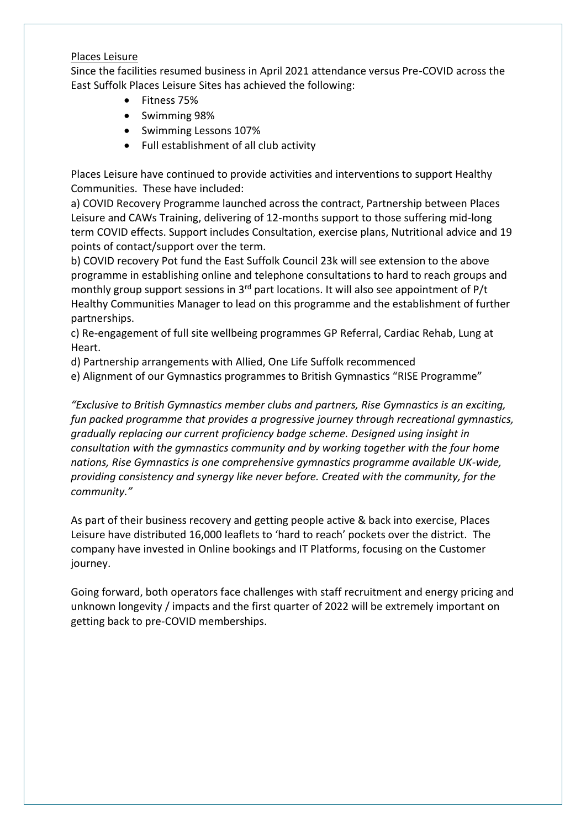#### Places Leisure

Since the facilities resumed business in April 2021 attendance versus Pre-COVID across the East Suffolk Places Leisure Sites has achieved the following:

- Fitness 75%
- Swimming 98%
- Swimming Lessons 107%
- Full establishment of all club activity

Places Leisure have continued to provide activities and interventions to support Healthy Communities. These have included:

a) COVID Recovery Programme launched across the contract, Partnership between Places Leisure and CAWs Training, delivering of 12-months support to those suffering mid-long term COVID effects. Support includes Consultation, exercise plans, Nutritional advice and 19 points of contact/support over the term.

b) COVID recovery Pot fund the East Suffolk Council 23k will see extension to the above programme in establishing online and telephone consultations to hard to reach groups and monthly group support sessions in  $3<sup>rd</sup>$  part locations. It will also see appointment of P/t Healthy Communities Manager to lead on this programme and the establishment of further partnerships.

c) Re-engagement of full site wellbeing programmes GP Referral, Cardiac Rehab, Lung at Heart.

d) Partnership arrangements with Allied, One Life Suffolk recommenced

e) Alignment of our Gymnastics programmes to British Gymnastics "RISE Programme"

*"Exclusive to British Gymnastics member clubs and partners, Rise Gymnastics is an exciting, fun packed programme that provides a progressive journey through recreational gymnastics, gradually replacing our current proficiency badge scheme. Designed using insight in consultation with the gymnastics community and by working together with the four home nations, Rise Gymnastics is one comprehensive gymnastics programme available UK-wide, providing consistency and synergy like never before. Created with the community, for the community."*

As part of their business recovery and getting people active & back into exercise, Places Leisure have distributed 16,000 leaflets to 'hard to reach' pockets over the district. The company have invested in Online bookings and IT Platforms, focusing on the Customer journey.

Going forward, both operators face challenges with staff recruitment and energy pricing and unknown longevity / impacts and the first quarter of 2022 will be extremely important on getting back to pre-COVID memberships.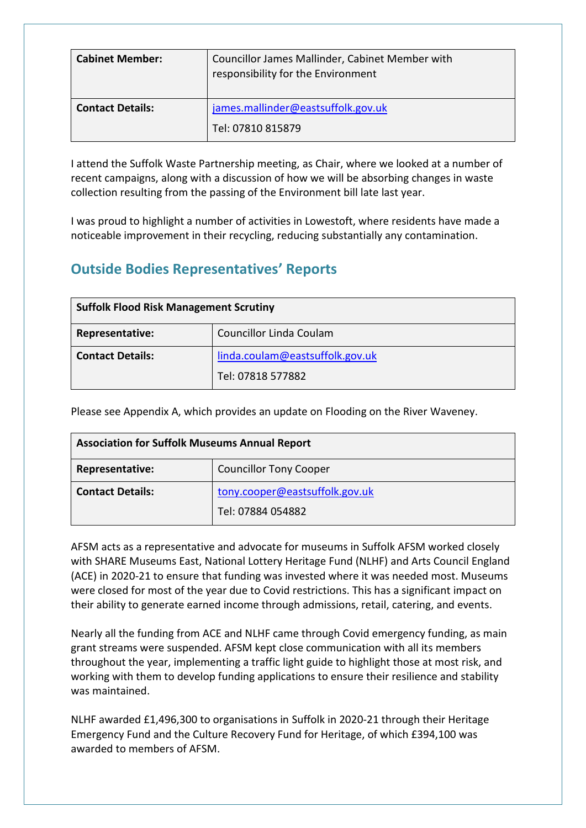| <b>Cabinet Member:</b>  | Councillor James Mallinder, Cabinet Member with<br>responsibility for the Environment |
|-------------------------|---------------------------------------------------------------------------------------|
| <b>Contact Details:</b> | james.mallinder@eastsuffolk.gov.uk<br>Tel: 07810 815879                               |

I attend the Suffolk Waste Partnership meeting, as Chair, where we looked at a number of recent campaigns, along with a discussion of how we will be absorbing changes in waste collection resulting from the passing of the Environment bill late last year.

I was proud to highlight a number of activities in Lowestoft, where residents have made a noticeable improvement in their recycling, reducing substantially any contamination.

# **Outside Bodies Representatives' Reports**

| <b>Suffolk Flood Risk Management Scrutiny</b> |                                 |
|-----------------------------------------------|---------------------------------|
| Representative:                               | Councillor Linda Coulam         |
| <b>Contact Details:</b>                       | linda.coulam@eastsuffolk.gov.uk |
|                                               | Tel: 07818 577882               |

Please see Appendix A, which provides an update on Flooding on the River Waveney.

| <b>Association for Suffolk Museums Annual Report</b> |                                                     |
|------------------------------------------------------|-----------------------------------------------------|
| Representative:                                      | <b>Councillor Tony Cooper</b>                       |
| <b>Contact Details:</b>                              | tony.cooper@eastsuffolk.gov.uk<br>Tel: 07884 054882 |

AFSM acts as a representative and advocate for museums in Suffolk AFSM worked closely with SHARE Museums East, National Lottery Heritage Fund (NLHF) and Arts Council England (ACE) in 2020-21 to ensure that funding was invested where it was needed most. Museums were closed for most of the year due to Covid restrictions. This has a significant impact on their ability to generate earned income through admissions, retail, catering, and events.

Nearly all the funding from ACE and NLHF came through Covid emergency funding, as main grant streams were suspended. AFSM kept close communication with all its members throughout the year, implementing a traffic light guide to highlight those at most risk, and working with them to develop funding applications to ensure their resilience and stability was maintained.

NLHF awarded £1,496,300 to organisations in Suffolk in 2020-21 through their Heritage Emergency Fund and the Culture Recovery Fund for Heritage, of which £394,100 was awarded to members of AFSM.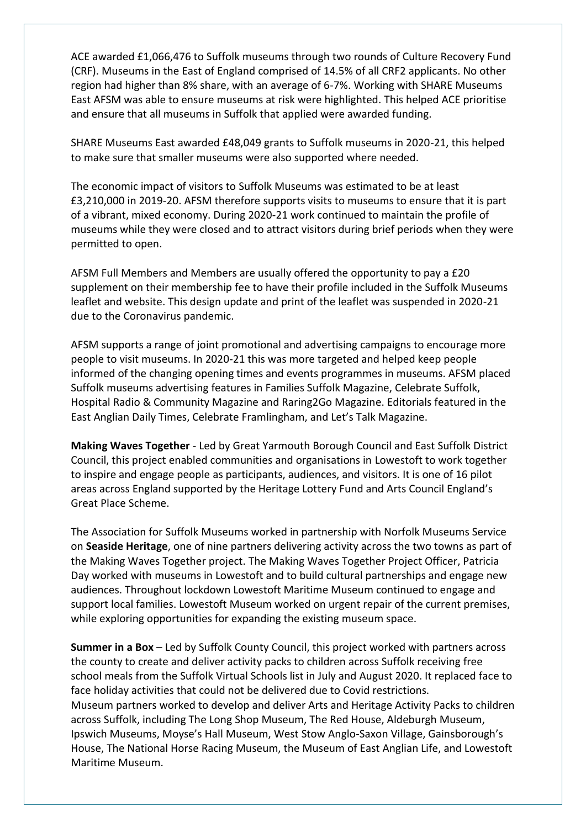ACE awarded £1,066,476 to Suffolk museums through two rounds of Culture Recovery Fund (CRF). Museums in the East of England comprised of 14.5% of all CRF2 applicants. No other region had higher than 8% share, with an average of 6-7%. Working with SHARE Museums East AFSM was able to ensure museums at risk were highlighted. This helped ACE prioritise and ensure that all museums in Suffolk that applied were awarded funding.

SHARE Museums East awarded £48,049 grants to Suffolk museums in 2020-21, this helped to make sure that smaller museums were also supported where needed.

The economic impact of visitors to Suffolk Museums was estimated to be at least £3,210,000 in 2019-20. AFSM therefore supports visits to museums to ensure that it is part of a vibrant, mixed economy. During 2020-21 work continued to maintain the profile of museums while they were closed and to attract visitors during brief periods when they were permitted to open.

AFSM Full Members and Members are usually offered the opportunity to pay a £20 supplement on their membership fee to have their profile included in the Suffolk Museums leaflet and website. This design update and print of the leaflet was suspended in 2020-21 due to the Coronavirus pandemic.

AFSM supports a range of joint promotional and advertising campaigns to encourage more people to visit museums. In 2020-21 this was more targeted and helped keep people informed of the changing opening times and events programmes in museums. AFSM placed Suffolk museums advertising features in Families Suffolk Magazine, Celebrate Suffolk, Hospital Radio & Community Magazine and Raring2Go Magazine. Editorials featured in the East Anglian Daily Times, Celebrate Framlingham, and Let's Talk Magazine.

**Making Waves Together** - Led by Great Yarmouth Borough Council and East Suffolk District Council, this project enabled communities and organisations in Lowestoft to work together to inspire and engage people as participants, audiences, and visitors. It is one of 16 pilot areas across England supported by the Heritage Lottery Fund and Arts Council England's Great Place Scheme.

The Association for Suffolk Museums worked in partnership with Norfolk Museums Service on **Seaside Heritage**, one of nine partners delivering activity across the two towns as part of the Making Waves Together project. The Making Waves Together Project Officer, Patricia Day worked with museums in Lowestoft and to build cultural partnerships and engage new audiences. Throughout lockdown Lowestoft Maritime Museum continued to engage and support local families. Lowestoft Museum worked on urgent repair of the current premises, while exploring opportunities for expanding the existing museum space.

**Summer in a Box** – Led by Suffolk County Council, this project worked with partners across the county to create and deliver activity packs to children across Suffolk receiving free school meals from the Suffolk Virtual Schools list in July and August 2020. It replaced face to face holiday activities that could not be delivered due to Covid restrictions. Museum partners worked to develop and deliver Arts and Heritage Activity Packs to children across Suffolk, including The Long Shop Museum, The Red House, Aldeburgh Museum, Ipswich Museums, Moyse's Hall Museum, West Stow Anglo-Saxon Village, Gainsborough's House, The National Horse Racing Museum, the Museum of East Anglian Life, and Lowestoft Maritime Museum.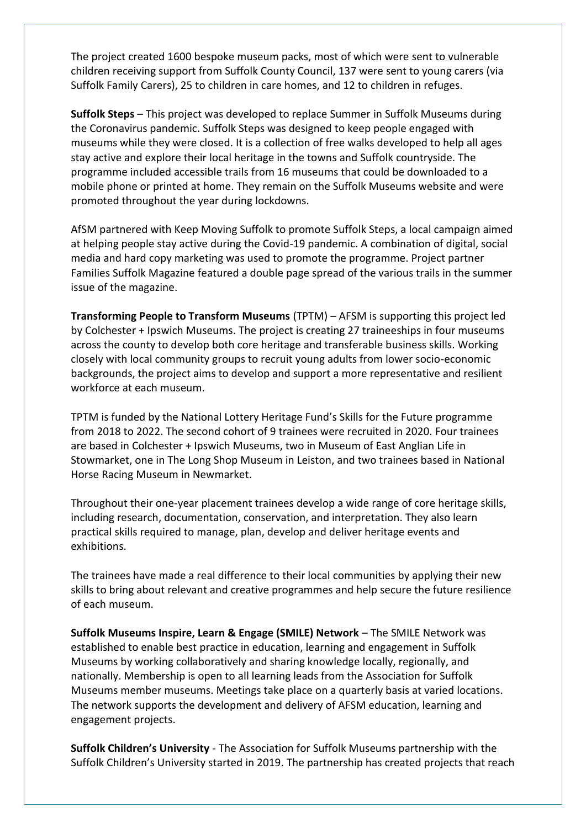The project created 1600 bespoke museum packs, most of which were sent to vulnerable children receiving support from Suffolk County Council, 137 were sent to young carers (via Suffolk Family Carers), 25 to children in care homes, and 12 to children in refuges.

**Suffolk Steps** – This project was developed to replace Summer in Suffolk Museums during the Coronavirus pandemic. Suffolk Steps was designed to keep people engaged with museums while they were closed. It is a collection of free walks developed to help all ages stay active and explore their local heritage in the towns and Suffolk countryside. The programme included accessible trails from 16 museums that could be downloaded to a mobile phone or printed at home. They remain on the Suffolk Museums website and were promoted throughout the year during lockdowns.

AfSM partnered with Keep Moving Suffolk to promote Suffolk Steps, a local campaign aimed at helping people stay active during the Covid-19 pandemic. A combination of digital, social media and hard copy marketing was used to promote the programme. Project partner Families Suffolk Magazine featured a double page spread of the various trails in the summer issue of the magazine.

**Transforming People to Transform Museums** (TPTM) – AFSM is supporting this project led by Colchester + Ipswich Museums. The project is creating 27 traineeships in four museums across the county to develop both core heritage and transferable business skills. Working closely with local community groups to recruit young adults from lower socio-economic backgrounds, the project aims to develop and support a more representative and resilient workforce at each museum.

TPTM is funded by the National Lottery Heritage Fund's Skills for the Future programme from 2018 to 2022. The second cohort of 9 trainees were recruited in 2020. Four trainees are based in Colchester + Ipswich Museums, two in Museum of East Anglian Life in Stowmarket, one in The Long Shop Museum in Leiston, and two trainees based in National Horse Racing Museum in Newmarket.

Throughout their one-year placement trainees develop a wide range of core heritage skills, including research, documentation, conservation, and interpretation. They also learn practical skills required to manage, plan, develop and deliver heritage events and exhibitions.

The trainees have made a real difference to their local communities by applying their new skills to bring about relevant and creative programmes and help secure the future resilience of each museum.

**Suffolk Museums Inspire, Learn & Engage (SMILE) Network** – The SMILE Network was established to enable best practice in education, learning and engagement in Suffolk Museums by working collaboratively and sharing knowledge locally, regionally, and nationally. Membership is open to all learning leads from the Association for Suffolk Museums member museums. Meetings take place on a quarterly basis at varied locations. The network supports the development and delivery of AFSM education, learning and engagement projects.

**Suffolk Children's University** - The Association for Suffolk Museums partnership with the Suffolk Children's University started in 2019. The partnership has created projects that reach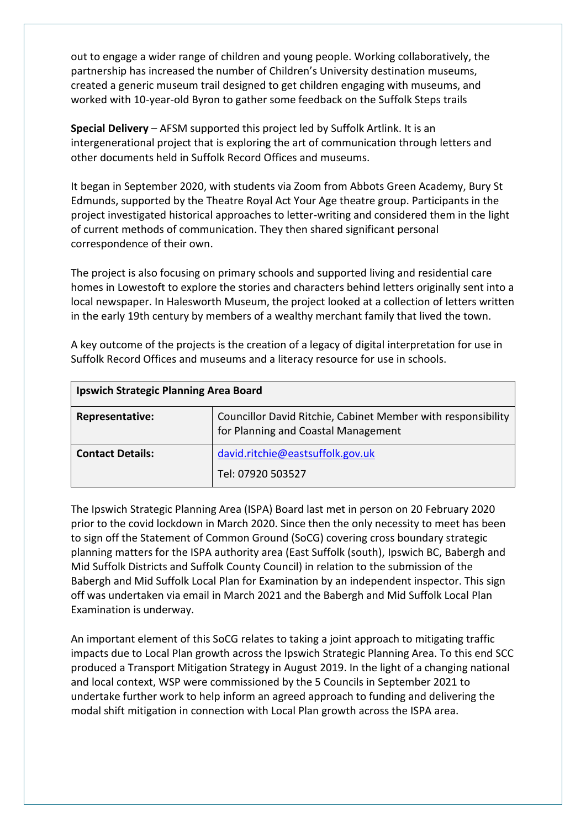out to engage a wider range of children and young people. Working collaboratively, the partnership has increased the number of Children's University destination museums, created a generic museum trail designed to get children engaging with museums, and worked with 10-year-old Byron to gather some feedback on the Suffolk Steps trails

**Special Delivery** – AFSM supported this project led by Suffolk Artlink. It is an intergenerational project that is exploring the art of communication through letters and other documents held in Suffolk Record Offices and museums.

It began in September 2020, with students via Zoom from Abbots Green Academy, Bury St Edmunds, supported by the Theatre Royal Act Your Age theatre group. Participants in the project investigated historical approaches to letter-writing and considered them in the light of current methods of communication. They then shared significant personal correspondence of their own.

The project is also focusing on primary schools and supported living and residential care homes in Lowestoft to explore the stories and characters behind letters originally sent into a local newspaper. In Halesworth Museum, the project looked at a collection of letters written in the early 19th century by members of a wealthy merchant family that lived the town.

A key outcome of the projects is the creation of a legacy of digital interpretation for use in Suffolk Record Offices and museums and a literacy resource for use in schools.

| <b>Ipswich Strategic Planning Area Board</b> |                                                                                                     |
|----------------------------------------------|-----------------------------------------------------------------------------------------------------|
| Representative:                              | Councillor David Ritchie, Cabinet Member with responsibility<br>for Planning and Coastal Management |
| <b>Contact Details:</b>                      | david.ritchie@eastsuffolk.gov.uk                                                                    |
|                                              | Tel: 07920 503527                                                                                   |

The Ipswich Strategic Planning Area (ISPA) Board last met in person on 20 February 2020 prior to the covid lockdown in March 2020. Since then the only necessity to meet has been to sign off the Statement of Common Ground (SoCG) covering cross boundary strategic planning matters for the ISPA authority area (East Suffolk (south), Ipswich BC, Babergh and Mid Suffolk Districts and Suffolk County Council) in relation to the submission of the Babergh and Mid Suffolk Local Plan for Examination by an independent inspector. This sign off was undertaken via email in March 2021 and the Babergh and Mid Suffolk Local Plan Examination is underway.

An important element of this SoCG relates to taking a joint approach to mitigating traffic impacts due to Local Plan growth across the Ipswich Strategic Planning Area. To this end SCC produced a Transport Mitigation Strategy in August 2019. In the light of a changing national and local context, WSP were commissioned by the 5 Councils in September 2021 to undertake further work to help inform an agreed approach to funding and delivering the modal shift mitigation in connection with Local Plan growth across the ISPA area.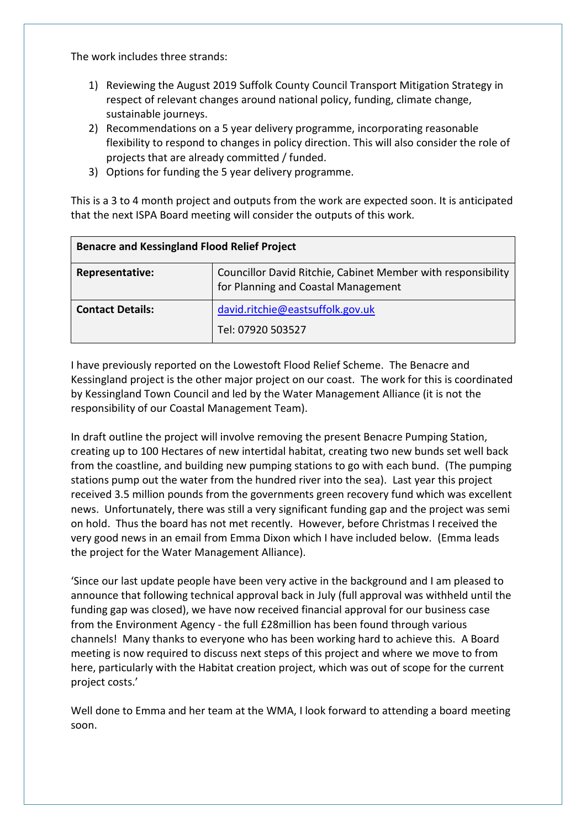The work includes three strands:

- 1) Reviewing the August 2019 Suffolk County Council Transport Mitigation Strategy in respect of relevant changes around national policy, funding, climate change, sustainable journeys.
- 2) Recommendations on a 5 year delivery programme, incorporating reasonable flexibility to respond to changes in policy direction. This will also consider the role of projects that are already committed / funded.
- 3) Options for funding the 5 year delivery programme.

This is a 3 to 4 month project and outputs from the work are expected soon. It is anticipated that the next ISPA Board meeting will consider the outputs of this work.

| <b>Benacre and Kessingland Flood Relief Project</b> |                                                                                                     |
|-----------------------------------------------------|-----------------------------------------------------------------------------------------------------|
| Representative:                                     | Councillor David Ritchie, Cabinet Member with responsibility<br>for Planning and Coastal Management |
| <b>Contact Details:</b>                             | david.ritchie@eastsuffolk.gov.uk<br>Tel: 07920 503527                                               |

I have previously reported on the Lowestoft Flood Relief Scheme. The Benacre and Kessingland project is the other major project on our coast. The work for this is coordinated by Kessingland Town Council and led by the Water Management Alliance (it is not the responsibility of our Coastal Management Team).

In draft outline the project will involve removing the present Benacre Pumping Station, creating up to 100 Hectares of new intertidal habitat, creating two new bunds set well back from the coastline, and building new pumping stations to go with each bund. (The pumping stations pump out the water from the hundred river into the sea). Last year this project received 3.5 million pounds from the governments green recovery fund which was excellent news. Unfortunately, there was still a very significant funding gap and the project was semi on hold. Thus the board has not met recently. However, before Christmas I received the very good news in an email from Emma Dixon which I have included below. (Emma leads the project for the Water Management Alliance).

'Since our last update people have been very active in the background and I am pleased to announce that following technical approval back in July (full approval was withheld until the funding gap was closed), we have now received financial approval for our business case from the Environment Agency - the full £28million has been found through various channels! Many thanks to everyone who has been working hard to achieve this. A Board meeting is now required to discuss next steps of this project and where we move to from here, particularly with the Habitat creation project, which was out of scope for the current project costs.'

Well done to Emma and her team at the WMA, I look forward to attending a board meeting soon.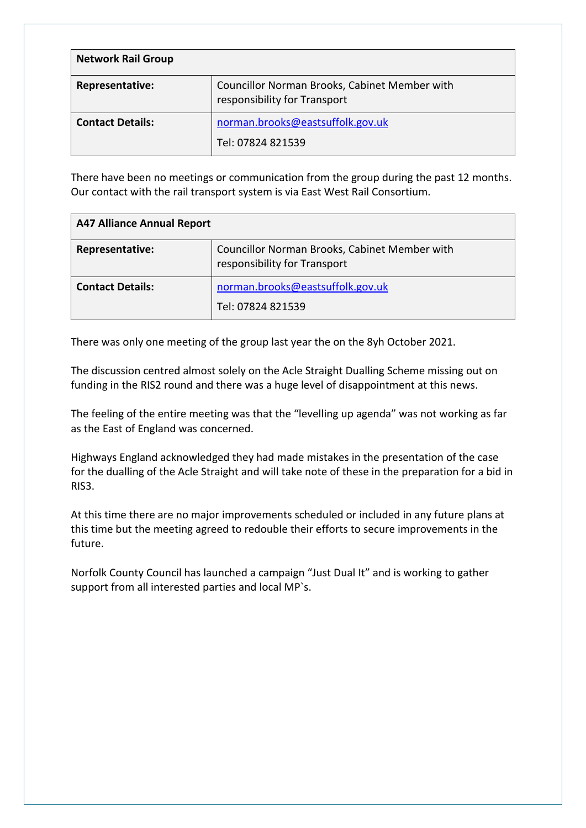| <b>Network Rail Group</b> |                                                                               |
|---------------------------|-------------------------------------------------------------------------------|
| Representative:           | Councillor Norman Brooks, Cabinet Member with<br>responsibility for Transport |
| <b>Contact Details:</b>   | norman.brooks@eastsuffolk.gov.uk<br>Tel: 07824 821539                         |

There have been no meetings or communication from the group during the past 12 months. Our contact with the rail transport system is via East West Rail Consortium.

| <b>A47 Alliance Annual Report</b> |                                                                               |
|-----------------------------------|-------------------------------------------------------------------------------|
| Representative:                   | Councillor Norman Brooks, Cabinet Member with<br>responsibility for Transport |
| <b>Contact Details:</b>           | norman.brooks@eastsuffolk.gov.uk<br>Tel: 07824 821539                         |

There was only one meeting of the group last year the on the 8yh October 2021.

The discussion centred almost solely on the Acle Straight Dualling Scheme missing out on funding in the RIS2 round and there was a huge level of disappointment at this news.

The feeling of the entire meeting was that the "levelling up agenda" was not working as far as the East of England was concerned.

Highways England acknowledged they had made mistakes in the presentation of the case for the dualling of the Acle Straight and will take note of these in the preparation for a bid in RIS3.

At this time there are no major improvements scheduled or included in any future plans at this time but the meeting agreed to redouble their efforts to secure improvements in the future.

Norfolk County Council has launched a campaign "Just Dual It" and is working to gather support from all interested parties and local MP`s.